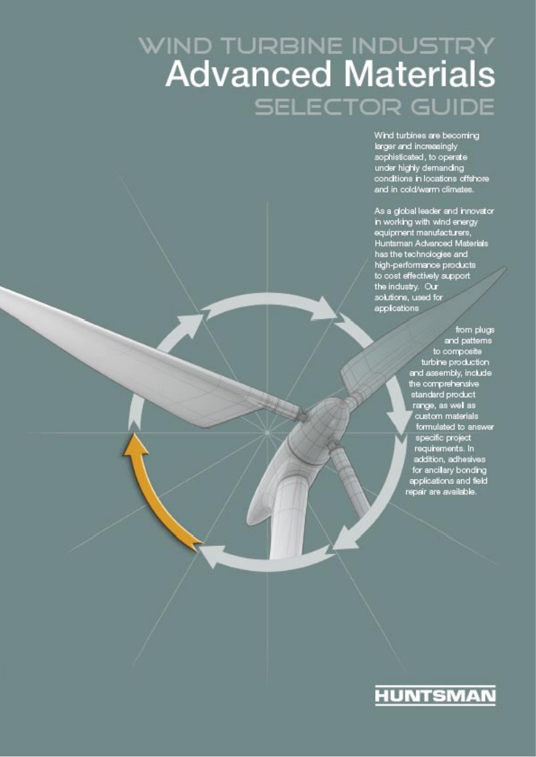# WIND TURBINE INDUSTRY<br>Advanced Materials **SELECTOR GUIDE**

Wind turbines are becoming larger and increasingly<br>sophisticated, to operate under highly demanding conditions in locations offshore and in cold/warm climates.

As a global leader and innovator in working with wind energy equipment manufacturers, Huntsman Advanced Materials has the technologies and high-performance products to cost effectively support the industry. Our<br>solutions, used for applications

> from plugs and patterns to composite turbine production and assembly, include the comprehensive standard product range, as well as custom materials formulated to answer specific project requirements. In addition, adhesives for ancilary bonding applications and field repair are available.

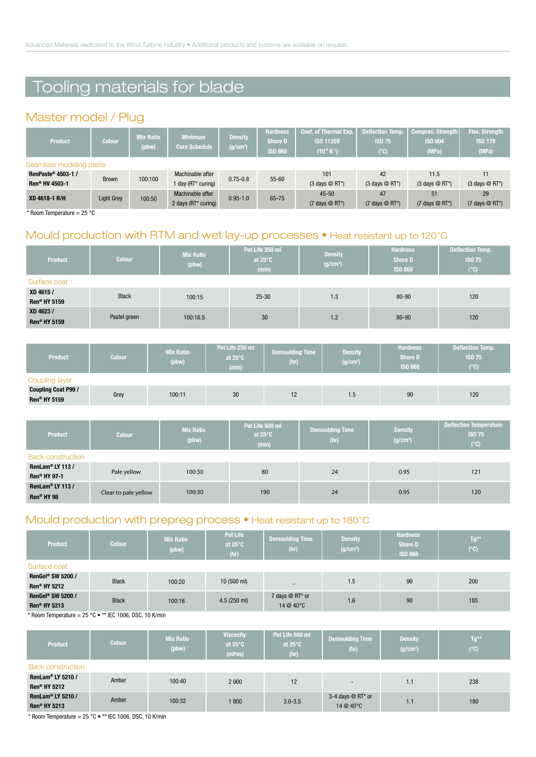## Tooling materials for blade

#### Master model / Plug

| <b>Colour</b>           | <b>Mix Ratio</b><br>(pbw)  | <b>Minimum</b><br><b>Cure Schedule</b> | <b>Density</b><br>(g/cm <sup>3</sup> ) | <b>Hardness</b><br><b>Shore D</b><br><b>ISO 868</b> | <b>Coef. of Thermal Exp.</b><br>ISO 11359<br>$(10^{-6} K^{-1})$ | <b>Deflection Temp.</b><br><b>ISO 75</b><br>(°C) | <b>Compres. Strength</b><br><b>ISO 604</b><br>(MPa) | <b>Flex. Strength</b><br><b>ISO 178</b><br>(MPa) |  |  |
|-------------------------|----------------------------|----------------------------------------|----------------------------------------|-----------------------------------------------------|-----------------------------------------------------------------|--------------------------------------------------|-----------------------------------------------------|--------------------------------------------------|--|--|
| Seamless modeling paste |                            |                                        |                                        |                                                     |                                                                 |                                                  |                                                     |                                                  |  |  |
|                         |                            | Machinable after                       |                                        |                                                     | 101                                                             | 42                                               | 11.5                                                | 11                                               |  |  |
|                         |                            | 1 day (RT* curing)                     |                                        |                                                     | $(3 \text{ days} \otimes \text{RT}^*)$                          | $(3 \text{ days} \otimes \text{RT*})$            | $(3 \text{ days} \textcircled{R} \text{RT}^*)$      | $(3 \text{ days} \otimes \text{RT*})$            |  |  |
|                         |                            | Machinable after                       |                                        |                                                     | $45 - 50$                                                       | 47                                               | 51                                                  | 29                                               |  |  |
|                         |                            |                                        |                                        |                                                     | $(7 \text{ days} \otimes \text{RT*})$                           | $(7 \text{ days} \otimes \text{RT*})$            | $(7 \text{ days} \otimes \text{RT}^*)$              | $(7 \text{ days} \otimes \text{RT}^*)$           |  |  |
|                         | <b>Brown</b><br>Light Grey | 100:100<br>100:50                      |                                        | $0.75 - 0.8$<br>$0.95 - 1.0$<br>2 days (RT* curing) | $55 - 60$<br>65-75                                              |                                                  |                                                     |                                                  |  |  |

\* Room Temperature =  $25 °C$ 

#### Mould production with RTM and wet lay-up processes . Heat resistant up to 120°C

| <b>Product</b>                   | <b>Colour</b> | <b>Mix Ratio</b><br>(pbw) | Pot Life 250 ml<br>at $25^{\circ}$ C<br>(min) | <b>Density</b><br>(g/cm <sup>3</sup> ) | <b>Hardness</b><br><b>Shore D</b><br><b>ISO 868</b> | <b>Deflection Temp.</b><br><b>ISO 75</b><br>$(^{\circ}C)$ |
|----------------------------------|---------------|---------------------------|-----------------------------------------------|----------------------------------------|-----------------------------------------------------|-----------------------------------------------------------|
| Surface coat                     |               |                           |                                               |                                        |                                                     |                                                           |
| XD 4615 /<br><b>Ren® HY 5159</b> | <b>Black</b>  | 100:15                    | $25 - 30$                                     | 1.3                                    | 80-90                                               | 120                                                       |
| XD 4623 /<br><b>Ren® HY 5159</b> | Pastel green  | 100:16.5                  | 30                                            | 1.2                                    | 80-90                                               | 120                                                       |

| <b>Product</b>                             | <b>Colour</b> | <b>Mix Ratio</b><br>(pbw) | Pot Life 250 ml<br>at $25^\circ$ C<br>(min) | <b>Demoulding Time</b><br>(hr) | <b>Density</b><br>(g/cm <sup>3</sup> ) | <b>Hardness</b><br><b>Shore D</b><br><b>ISO 868</b> | <b>Deflection Temp.</b><br><b>ISO 75</b><br>$(^\circ \text{C})$ |
|--------------------------------------------|---------------|---------------------------|---------------------------------------------|--------------------------------|----------------------------------------|-----------------------------------------------------|-----------------------------------------------------------------|
| Coupling layer                             |               |                           |                                             |                                |                                        |                                                     |                                                                 |
| <b>Coupling Coat P99 /</b><br>Ren® HY 5159 | Grey          | 100:11                    | 30                                          | 12                             | 1.5                                    | 90                                                  | 120                                                             |

| <b>Product</b>               | <b>Colour</b>        | <b>Mix Ratio</b><br>(pbw) | Pot Life 500 ml<br>at $25^{\circ}$ C<br>(min) | <b>Demoulding Time</b><br>(hr) | <b>Density</b><br>(g/cm <sup>3</sup> ) | <b>Deflection Temperature</b><br><b>ISO 75</b><br>$(^\circ \mathbb{C})$ |  |
|------------------------------|----------------------|---------------------------|-----------------------------------------------|--------------------------------|----------------------------------------|-------------------------------------------------------------------------|--|
| <b>Back construction</b>     |                      |                           |                                               |                                |                                        |                                                                         |  |
| RenLam <sup>®</sup> LY 113 / | Pale yellow          | 100:30                    | 80                                            | 24                             | 0.95                                   | 121                                                                     |  |
| Ren® HY 97-1                 |                      |                           |                                               |                                |                                        |                                                                         |  |
| RenLam <sup>®</sup> LY 113 / |                      | 100:30                    | 190                                           |                                |                                        |                                                                         |  |
| Ren® HY 98                   | Clear to pale yellow |                           |                                               | 24                             | 0.95                                   | 120                                                                     |  |

#### Mould production with prepreg process . Heat resistant up to 180°C

| <b>Product</b>                                                                | <b>Colour</b> | <b>Mix Ratio</b><br>(pbw) | <b>Pot Life</b><br>at $25^{\circ}$ C<br>(hr) | <b>Demoulding Time</b><br>(hr) | <b>Density</b><br>(g/cm <sup>3</sup> ) | <b>Hardness</b><br><b>Shore D</b><br><b>ISO 868</b> | $Tg^{\star\star}$<br>$(^{\circ}C)$ |  |  |
|-------------------------------------------------------------------------------|---------------|---------------------------|----------------------------------------------|--------------------------------|----------------------------------------|-----------------------------------------------------|------------------------------------|--|--|
| Surface coat                                                                  |               |                           |                                              |                                |                                        |                                                     |                                    |  |  |
| RenGel <sup>®</sup> SW 5200 /                                                 | <b>Black</b>  | 100:20                    | 10(500 ml)                                   |                                | 1.5                                    | 90                                                  | 200                                |  |  |
| Ren® HY 5212                                                                  |               |                           |                                              | $-$                            |                                        |                                                     |                                    |  |  |
| RenGel <sup>®</sup> SW 5200 /                                                 | <b>Black</b>  | 100:16                    | $4.5(250 \text{ ml})$                        | 7 days @ RT* or                | 1.6                                    | 90                                                  | 185                                |  |  |
| Ren® HY 5213                                                                  |               |                           | 14 @ 40°C                                    |                                |                                        |                                                     |                                    |  |  |
| $*$ D. $\ldots$ T. $\ldots$ is the off of $*$ if $0.4000$ DOO 40 $1/(\ldots)$ |               |                           |                                              |                                |                                        |                                                     |                                    |  |  |

Room Temperature = 25 °C · \*\* IEC 1006, DSC, 10 K/min

| <b>Product</b>                                            | Colour | <b>Mix Ratio</b><br>(pbw) | <b>Viscosity</b><br>at $25^{\circ}$ C<br>(mPas) | Pot Life 500 ml<br>at $25^{\circ}$ C<br>(hr) | <b>Demoulding Time</b><br>(hr)   | <b>Density</b><br>(g/cm <sup>3</sup> ) | $Tg^{\star\star}$<br>$(^{\circ}C)$ |
|-----------------------------------------------------------|--------|---------------------------|-------------------------------------------------|----------------------------------------------|----------------------------------|----------------------------------------|------------------------------------|
| <b>Back construction</b>                                  |        |                           |                                                 |                                              |                                  |                                        |                                    |
| RenLam <sup>®</sup> LY 5210 /<br>Ren <sup>®</sup> HY 5212 | Amber  | 100:40                    | 2 0 0 0                                         | 12                                           | $\overline{\phantom{a}}$         | 1.1                                    | 238                                |
| RenLam <sup>®</sup> LY 5210 /<br>Ren <sup>®</sup> HY 5213 | Amber  | 100:32                    | 1800                                            | $3.0 - 3.5$                                  | 3-4 days $@$ RT* or<br>14 @ 40°C | 1.1                                    | 180                                |

\* Room Temperature =  $25 °C \bullet$  \*\* IEC 1006, DSC, 10 K/min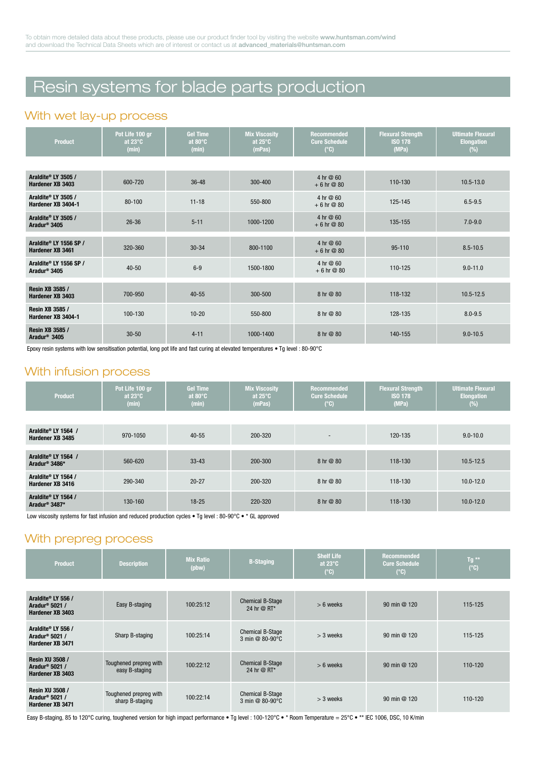# Resin systems for blade parts production

#### With wet lay-up process

| <b>Product</b>                                     | Pot Life 100 gr<br>at $23^\circ$ C<br>(min) | <b>Gel Time</b><br>at $80^\circ$ C<br>(min) | <b>Mix Viscosity</b><br>at $25^\circ$ C<br>(mPas) | <b>Recommended</b><br><b>Cure Schedule</b><br>$(^{\circ}C)$ | <b>Flexural Strength</b><br><b>ISO 178</b><br>(MPa) | <b>Ultimate Flexural</b><br><b>Elongation</b><br>$(\%)$ |
|----------------------------------------------------|---------------------------------------------|---------------------------------------------|---------------------------------------------------|-------------------------------------------------------------|-----------------------------------------------------|---------------------------------------------------------|
|                                                    |                                             |                                             |                                                   |                                                             |                                                     |                                                         |
| Araldite® LY 3505 /<br>Hardener XB 3403            | 600-720                                     | $36 - 48$                                   | 300-400                                           | 4 hr @ 60<br>$+6$ hr $@$ 80                                 | 110-130                                             | $10.5 - 13.0$                                           |
| Araldite® LY 3505 /<br>Hardener XB 3404-1          | $80 - 100$                                  | $11 - 18$                                   | 550-800                                           | 4 hr @ 60<br>$+6$ hr $@$ 80                                 | 125-145                                             | $6.5 - 9.5$                                             |
| Araldite® LY 3505 /<br>Aradur <sup>®</sup> 3405    | $26 - 36$                                   | $5 - 11$                                    | 1000-1200                                         | 4 hr @ 60<br>$+6$ hr $@$ 80                                 | 135-155                                             | $7.0 - 9.0$                                             |
| Araldite® LY 1556 SP /<br>Hardener XB 3461         | 320-360                                     | $30 - 34$                                   | 800-1100                                          | 4 hr $@60$<br>$+6$ hr $@$ 80                                | $95 - 110$                                          | $8.5 - 10.5$                                            |
| Araldite® LY 1556 SP /<br>Aradur <sup>®</sup> 3405 | $40 - 50$                                   | $6 - 9$                                     | 1500-1800                                         | 4 hr @ 60<br>$+6$ hr $@$ 80                                 | 110-125                                             | $9.0 - 11.0$                                            |
| <b>Resin XB 3585 /</b><br>Hardener XB 3403         | 700-950                                     | $40 - 55$                                   | 300-500                                           | 8 hr @ 80                                                   | 118-132                                             | $10.5 - 12.5$                                           |
| Resin XB 3585 /<br>Hardener XB 3404-1              | 100-130                                     | $10 - 20$                                   | 550-800                                           | 8 hr @ 80                                                   | 128-135                                             | $8.0 - 9.5$                                             |
| <b>Resin XB 3585 /</b><br>Aradur <sup>®</sup> 3405 | $30 - 50$                                   | $4 - 11$                                    | 1000-1400                                         | 8 hr @ 80                                                   | 140-155                                             | $9.0 - 10.5$                                            |

Epoxy resin systems with low sensitisation potential, long pot life and fast curing at elevated temperatures . Tg level: 80-90°C

#### With infusion process

| <b>Product</b>                                   | Pot Life 100 gr<br>at 23 $\degree$ C<br>(min) | <b>Gel Time</b><br>at 80 $^{\circ}$ C<br>(min) | <b>Mix Viscosity</b><br>at $25^\circ$ C<br>(mPas) | <b>Recommended</b><br><b>Cure Schedule</b><br>$(^{\circ}C)$ | <b>Flexural Strength</b><br><b>ISO 178</b><br>(MPa) | <b>Ultimate Flexural</b><br><b>Elongation</b><br>(%) |
|--------------------------------------------------|-----------------------------------------------|------------------------------------------------|---------------------------------------------------|-------------------------------------------------------------|-----------------------------------------------------|------------------------------------------------------|
|                                                  |                                               |                                                |                                                   |                                                             |                                                     |                                                      |
| Araldite® LY 1564 /<br>Hardener XB 3485          | 970-1050                                      | $40 - 55$                                      | 200-320                                           | $\overline{a}$                                              | 120-135                                             | $9.0 - 10.0$                                         |
| Araldite® LY 1564 /                              |                                               |                                                |                                                   |                                                             |                                                     |                                                      |
| Aradur <sup>®</sup> 3486*                        | 560-620                                       | $33 - 43$                                      | 200-300                                           | 8 hr @ 80                                                   | 118-130                                             | $10.5 - 12.5$                                        |
| Araldite® LY 1564 /<br>Hardener XB 3416          | 290-340                                       | $20 - 27$                                      | 200-320                                           | 8 hr @ 80                                                   | 118-130                                             | $10.0 - 12.0$                                        |
| Araldite® LY 1564 /<br>Aradur <sup>®</sup> 3487* | 130-160                                       | $18 - 25$                                      | 220-320                                           | 8 hr @ 80                                                   | 118-130                                             | $10.0 - 12.0$                                        |

Low viscosity systems for fast infusion and reduced production cycles • Tg level : 80-90°C • \* GL approved

#### With prepreg process

| <b>Product</b>                                                           | <b>Description</b>                        | <b>Mix Ratio</b><br>(pbw) | <b>B-Staging</b>                           | <b>Shelf Life</b><br>at $23^\circ$ C<br>$(^{\circ}C)$ | <b>Recommended</b><br><b>Cure Schedule</b><br>$(^{\circ}C)$ | Tg $**$<br>$(^{\circ}C)$ |
|--------------------------------------------------------------------------|-------------------------------------------|---------------------------|--------------------------------------------|-------------------------------------------------------|-------------------------------------------------------------|--------------------------|
|                                                                          |                                           |                           |                                            |                                                       |                                                             |                          |
| Araldite® LY 556 /<br>Aradur <sup>®</sup> 5021 /<br>Hardener XB 3403     | Easy B-staging                            | 100:25:12                 | <b>Chemical B-Stage</b><br>24 hr @ RT*     | $> 6$ weeks                                           | 90 min @ 120                                                | 115-125                  |
| Araldite® LY 556 /<br>Aradur <sup>®</sup> 5021 /<br>Hardener XB 3471     | Sharp B-staging                           | 100:25:14                 | <b>Chemical B-Stage</b><br>3 min @ 80-90°C | $>$ 3 weeks                                           | 90 min @ 120                                                | 115-125                  |
| <b>Resin XU 3508 /</b><br>Aradur <sup>®</sup> 5021 /<br>Hardener XB 3403 | Toughened prepreg with<br>easy B-staging  | 100:22:12                 | <b>Chemical B-Stage</b><br>24 hr @ RT*     | $> 6$ weeks                                           | 90 min @ 120                                                | 110-120                  |
| <b>Resin XU 3508 /</b><br>Aradur <sup>®</sup> 5021 /<br>Hardener XB 3471 | Toughened prepreg with<br>sharp B-staging | 100:22:14                 | <b>Chemical B-Stage</b><br>3 min @ 80-90°C | $>$ 3 weeks                                           | 90 min @ 120                                                | 110-120                  |

Easy B-staging, 85 to 120°C curing, toughened version for high impact performance . Tg level: 100-120°C . \* Room Temperature = 25°C . \*\* IEC 1006, DSC, 10 K/min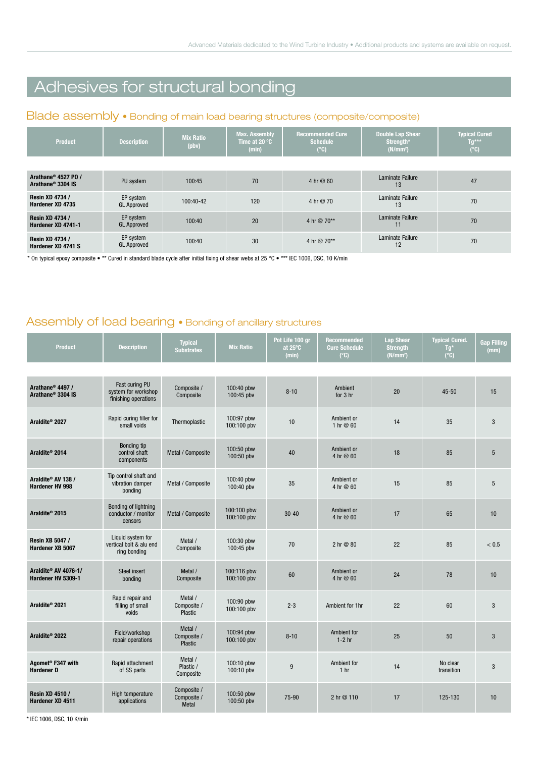### Adhesives for structural bonding

#### Blade assembly . Bonding of main load bearing structures (composite/composite)

| <b>Product</b>                                                   | <b>Description</b>              | <b>Mix Ratio</b><br>$( \nabla \mathbf{b} \mathbf{v} )$ | Max. Assembly<br>Time at 20 °C<br>(min) | <b>Recommended Cure</b><br><b>Schedule</b><br>$(^{\circ}C)$ | <b>Double Lap Shear</b><br>Strength*<br>(N/mm <sup>2</sup> ) | <b>Typical Cured</b><br>$Tg***$<br>$(^{\circ}C)$ |
|------------------------------------------------------------------|---------------------------------|--------------------------------------------------------|-----------------------------------------|-------------------------------------------------------------|--------------------------------------------------------------|--------------------------------------------------|
|                                                                  |                                 |                                                        |                                         |                                                             |                                                              |                                                  |
| Arathane <sup>®</sup> 4527 PO /<br>Arathane <sup>®</sup> 3304 IS | PU system                       | 100:45                                                 | 70                                      | 4 hr @ 60                                                   | Laminate Failure<br>13                                       | 47                                               |
| <b>Resin XD 4734 /</b><br>Hardener XD 4735                       | EP system<br><b>GL Approved</b> | $100:40-42$                                            | 120                                     | 4 hr @ 70                                                   | <b>Laminate Failure</b><br>13                                | 70                                               |
| <b>Resin XD 4734 /</b><br>Hardener XD 4741-1                     | EP system<br><b>GL Approved</b> | 100:40                                                 | 20                                      | 4 hr @ 70**                                                 | <b>Laminate Failure</b><br>11                                | 70                                               |
| <b>Resin XD 4734 /</b><br>Hardener XD 4741 S                     | EP system<br><b>GL Approved</b> | 100:40                                                 | 30                                      | 4 hr @ 70**                                                 | <b>Laminate Failure</b><br>12                                | 70                                               |

\* On typical epoxy composite • \*\* Cured in standard blade cycle after initial fixing of shear webs at 25 °C • \*\*\* IEC 1006, DSC, 10 K/min

#### Assembly of load bearing . Bonding of ancillary structures

| <b>Product</b>                                                | <b>Description</b>                                            | <b>Typical</b><br><b>Substrates</b>      | <b>Mix Ratio</b>           | Pot Life 100 gr<br>at 25°C<br>(min) | <b>Recommended</b><br><b>Cure Schedule</b><br>$(^{\circ}C)$ | Lap Shear<br><b>Strength</b><br>(N/mm <sup>2</sup> ) | <b>Typical Cured.</b><br>Tg*<br>$(^{\circ}C)$ | <b>Gap Filling</b><br>(mm) |
|---------------------------------------------------------------|---------------------------------------------------------------|------------------------------------------|----------------------------|-------------------------------------|-------------------------------------------------------------|------------------------------------------------------|-----------------------------------------------|----------------------------|
|                                                               |                                                               |                                          |                            |                                     |                                                             |                                                      |                                               |                            |
| Arathane <sup>®</sup> 4497 /<br>Arathane <sup>®</sup> 3304 IS | Fast curing PU<br>system for workshop<br>finishing operations | Composite /<br>Composite                 | 100:40 pbw<br>100:45 pbv   | $8 - 10$                            | Ambient<br>for 3 hr                                         | 20                                                   | $45 - 50$                                     | 15                         |
| Araldite <sup>®</sup> 2027                                    | Rapid curing filler for<br>small voids                        | Thermoplastic                            | 100:97 pbw<br>100:100 pbv  | 10                                  | Ambient or<br>1 hr @ 60                                     | 14                                                   | 35                                            | $\mathbf{3}$               |
| Araldite <sup>®</sup> 2014                                    | Bonding tip<br>control shaft<br>components                    | Metal / Composite                        | 100:50 pbw<br>100:50 pbv   | 40                                  | Ambient or<br>4 hr @ 60                                     | 18                                                   | 85                                            | $5\phantom{.0}$            |
| Araldite® AV 138 /<br><b>Hardener HV 998</b>                  | Tip control shaft and<br>vibration damper<br>bonding          | Metal / Composite                        | 100:40 pbw<br>100:40 pbv   | 35                                  | Ambient or<br>4 hr @ 60                                     | 15                                                   | 85                                            | $5\phantom{.0}$            |
| Araldite <sup>®</sup> 2015                                    | Bonding of lightning<br>conductor / monitor<br>censors        | Metal / Composite                        | 100:100 pbw<br>100:100 pbv | $30 - 40$                           | Ambient or<br>4 hr @ 60                                     | 17                                                   | 65                                            | 10                         |
| <b>Resin XB 5047 /</b><br>Hardener XB 5067                    | Liquid system for<br>vertical bolt & alu end<br>ring bonding  | Metal /<br>Composite                     | 100:30 pbw<br>100:45 pbv   | 70                                  | 2 hr @ 80                                                   | 22                                                   | 85                                            | < 0.5                      |
| Araldite® AV 4076-1/<br>Hardener HV 5309-1                    | Steel insert<br>bonding                                       | Metal /<br>Composite                     | 100:116 pbw<br>100:100 pbv | 60                                  | Ambient or<br>4 hr @ 60                                     | 24                                                   | 78                                            | 10                         |
| Araldite <sup>®</sup> 2021                                    | Rapid repair and<br>filling of small<br>voids                 | Metal /<br>Composite /<br>Plastic        | 100:90 pbw<br>100:100 pbv  | $2 - 3$                             | Ambient for 1hr                                             | 22                                                   | 60                                            | 3                          |
| Araldite <sup>®</sup> 2022                                    | Field/workshop<br>repair operations                           | Metal /<br>Composite /<br><b>Plastic</b> | 100:94 pbw<br>100:100 pbv  | $8 - 10$                            | Ambient for<br>$1-2$ hr                                     | 25                                                   | 50                                            | $\mathbf{3}$               |
| Agomet <sup>®</sup> F347 with<br><b>Hardener D</b>            | Rapid attachment<br>of SS parts                               | Metal /<br>Plastic /<br>Composite        | 100:10 pbw<br>100:10 pbv   | 9                                   | Ambient for<br>1 <sub>hr</sub>                              | 14                                                   | No clear<br>transition                        | 3                          |
| <b>Resin XD 4510 /</b><br>Hardener XD 4511                    | High temperature<br>applications                              | Composite /<br>Composite /<br>Metal      | 100:50 pbw<br>100:50 pbv   | 75-90                               | 2 hr @ 110                                                  | 17                                                   | 125-130                                       | 10                         |

\* IEC 1006, DSC, 10 K/min